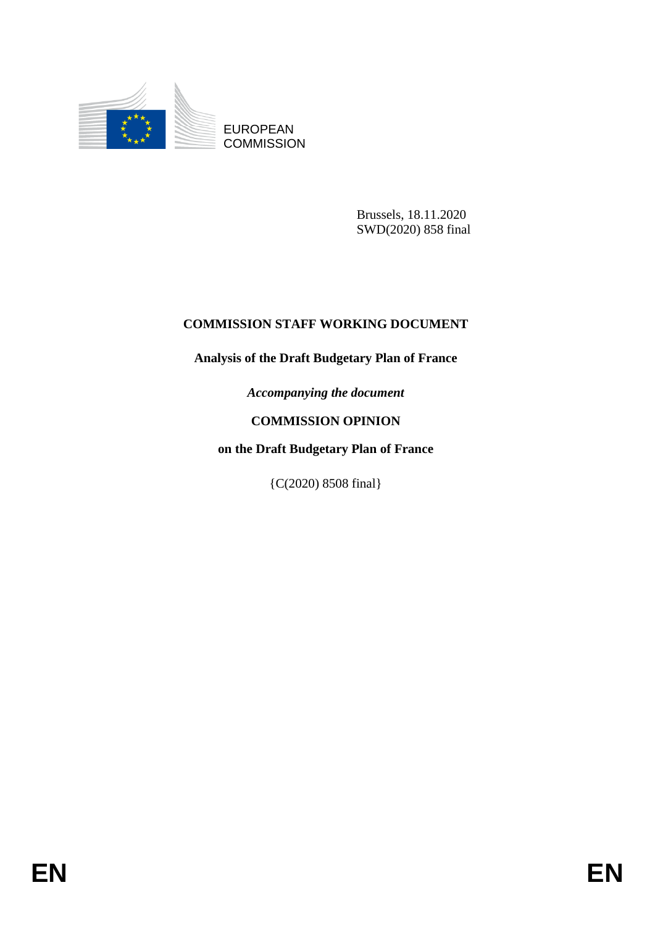

EUROPEAN **COMMISSION** 

> Brussels, 18.11.2020 SWD(2020) 858 final

# **COMMISSION STAFF WORKING DOCUMENT**

# **Analysis of the Draft Budgetary Plan of France**

*Accompanying the document*

# **COMMISSION OPINION**

# **on the Draft Budgetary Plan of France**

{C(2020) 8508 final}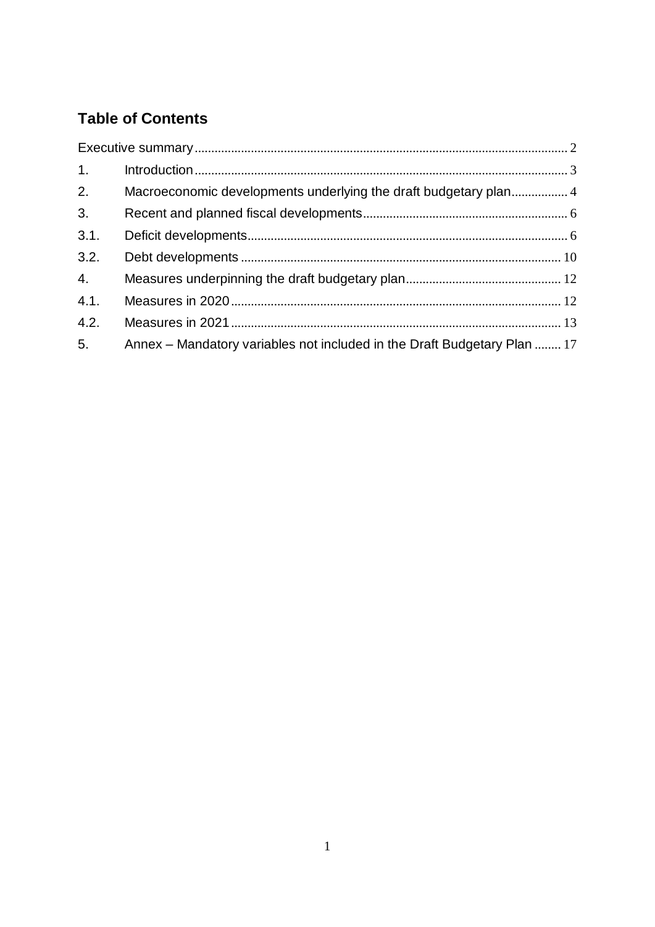# **Table of Contents**

| 1.   |                                                                          |  |
|------|--------------------------------------------------------------------------|--|
| 2.   | Macroeconomic developments underlying the draft budgetary plan 4         |  |
| 3.   |                                                                          |  |
| 3.1. |                                                                          |  |
| 3.2. |                                                                          |  |
| 4.   |                                                                          |  |
| 4.1. |                                                                          |  |
| 4.2. |                                                                          |  |
| 5.   | Annex – Mandatory variables not included in the Draft Budgetary Plan  17 |  |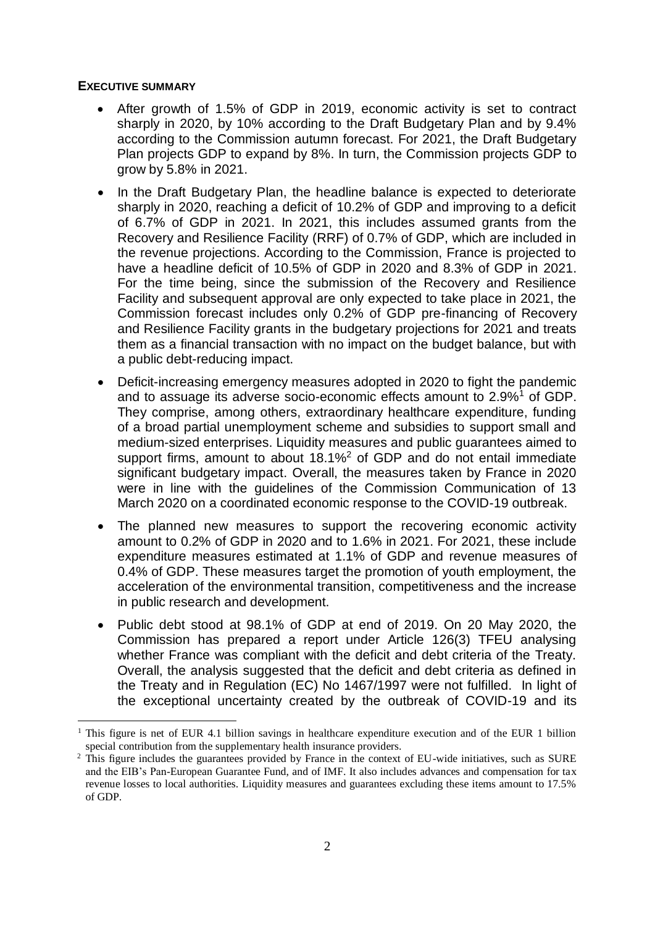#### <span id="page-2-0"></span>**EXECUTIVE SUMMARY**

- After growth of 1.5% of GDP in 2019, economic activity is set to contract sharply in 2020, by 10% according to the Draft Budgetary Plan and by 9.4% according to the Commission autumn forecast. For 2021, the Draft Budgetary Plan projects GDP to expand by 8%. In turn, the Commission projects GDP to grow by 5.8% in 2021.
- In the Draft Budgetary Plan, the headline balance is expected to deteriorate sharply in 2020, reaching a deficit of 10.2% of GDP and improving to a deficit of 6.7% of GDP in 2021. In 2021, this includes assumed grants from the Recovery and Resilience Facility (RRF) of 0.7% of GDP, which are included in the revenue projections. According to the Commission, France is projected to have a headline deficit of 10.5% of GDP in 2020 and 8.3% of GDP in 2021. For the time being, since the submission of the Recovery and Resilience Facility and subsequent approval are only expected to take place in 2021, the Commission forecast includes only 0.2% of GDP pre-financing of Recovery and Resilience Facility grants in the budgetary projections for 2021 and treats them as a financial transaction with no impact on the budget balance, but with a public debt-reducing impact.
- Deficit-increasing emergency measures adopted in 2020 to fight the pandemic and to assuage its adverse socio-economic effects amount to 2.9%<sup>1</sup> of GDP. They comprise, among others, extraordinary healthcare expenditure, funding of a broad partial unemployment scheme and subsidies to support small and medium-sized enterprises. Liquidity measures and public guarantees aimed to support firms, amount to about 18.1%<sup>2</sup> of GDP and do not entail immediate significant budgetary impact. Overall, the measures taken by France in 2020 were in line with the guidelines of the Commission Communication of 13 March 2020 on a coordinated economic response to the COVID-19 outbreak.
- The planned new measures to support the recovering economic activity amount to 0.2% of GDP in 2020 and to 1.6% in 2021. For 2021, these include expenditure measures estimated at 1.1% of GDP and revenue measures of 0.4% of GDP. These measures target the promotion of youth employment, the acceleration of the environmental transition, competitiveness and the increase in public research and development.
- Public debt stood at 98.1% of GDP at end of 2019. On 20 May 2020, the Commission has prepared a report under Article 126(3) TFEU analysing whether France was compliant with the deficit and debt criteria of the Treaty. Overall, the analysis suggested that the deficit and debt criteria as defined in the Treaty and in Regulation (EC) No 1467/1997 were not fulfilled. In light of the exceptional uncertainty created by the outbreak of COVID-19 and its

<sup>&</sup>lt;sup>1</sup> This figure is net of EUR 4.1 billion savings in healthcare expenditure execution and of the EUR 1 billion special contribution from the supplementary health insurance providers.

<sup>&</sup>lt;sup>2</sup> This figure includes the guarantees provided by France in the context of EU-wide initiatives, such as SURE and the EIB's Pan-European Guarantee Fund, and of IMF. It also includes advances and compensation for tax revenue losses to local authorities. Liquidity measures and guarantees excluding these items amount to 17.5% of GDP.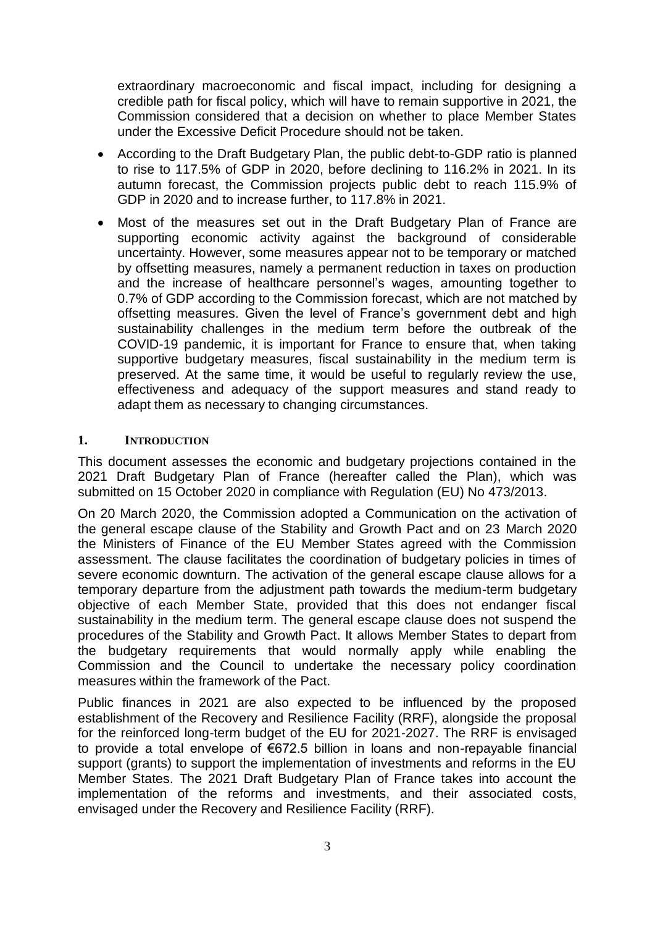extraordinary macroeconomic and fiscal impact, including for designing a credible path for fiscal policy, which will have to remain supportive in 2021, the Commission considered that a decision on whether to place Member States under the Excessive Deficit Procedure should not be taken.

- According to the Draft Budgetary Plan, the public debt-to-GDP ratio is planned to rise to 117.5% of GDP in 2020, before declining to 116.2% in 2021. In its autumn forecast, the Commission projects public debt to reach 115.9% of GDP in 2020 and to increase further, to 117.8% in 2021.
- Most of the measures set out in the Draft Budgetary Plan of France are supporting economic activity against the background of considerable uncertainty. However, some measures appear not to be temporary or matched by offsetting measures, namely a permanent reduction in taxes on production and the increase of healthcare personnel's wages, amounting together to 0.7% of GDP according to the Commission forecast, which are not matched by offsetting measures. Given the level of France's government debt and high sustainability challenges in the medium term before the outbreak of the COVID-19 pandemic, it is important for France to ensure that, when taking supportive budgetary measures, fiscal sustainability in the medium term is preserved. At the same time, it would be useful to regularly review the use, effectiveness and adequacy of the support measures and stand ready to adapt them as necessary to changing circumstances.

#### <span id="page-3-0"></span>**1. INTRODUCTION**

This document assesses the economic and budgetary projections contained in the 2021 Draft Budgetary Plan of France (hereafter called the Plan), which was submitted on 15 October 2020 in compliance with Regulation (EU) No 473/2013.

On 20 March 2020, the Commission adopted a Communication on the activation of the general escape clause of the Stability and Growth Pact and on 23 March 2020 the Ministers of Finance of the EU Member States agreed with the Commission assessment. The clause facilitates the coordination of budgetary policies in times of severe economic downturn. The activation of the general escape clause allows for a temporary departure from the adjustment path towards the medium-term budgetary objective of each Member State, provided that this does not endanger fiscal sustainability in the medium term. The general escape clause does not suspend the procedures of the Stability and Growth Pact. It allows Member States to depart from the budgetary requirements that would normally apply while enabling the Commission and the Council to undertake the necessary policy coordination measures within the framework of the Pact.

Public finances in 2021 are also expected to be influenced by the proposed establishment of the Recovery and Resilience Facility (RRF), alongside the proposal for the reinforced long-term budget of the EU for 2021-2027. The RRF is envisaged to provide a total envelope of €672.5 billion in loans and non-repayable financial support (grants) to support the implementation of investments and reforms in the EU Member States. The 2021 Draft Budgetary Plan of France takes into account the implementation of the reforms and investments, and their associated costs, envisaged under the Recovery and Resilience Facility (RRF).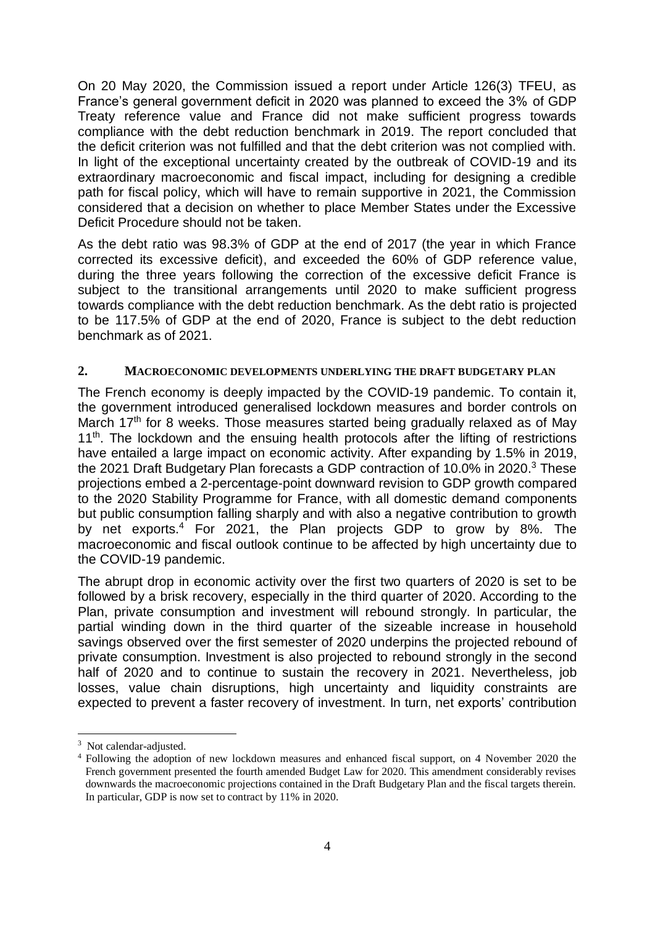On 20 May 2020, the Commission issued a report under Article 126(3) TFEU, as France's general government deficit in 2020 was planned to exceed the 3% of GDP Treaty reference value and France did not make sufficient progress towards compliance with the debt reduction benchmark in 2019. The report concluded that the deficit criterion was not fulfilled and that the debt criterion was not complied with. In light of the exceptional uncertainty created by the outbreak of COVID-19 and its extraordinary macroeconomic and fiscal impact, including for designing a credible path for fiscal policy, which will have to remain supportive in 2021, the Commission considered that a decision on whether to place Member States under the Excessive Deficit Procedure should not be taken.

As the debt ratio was 98.3% of GDP at the end of 2017 (the year in which France corrected its excessive deficit), and exceeded the 60% of GDP reference value, during the three years following the correction of the excessive deficit France is subject to the transitional arrangements until 2020 to make sufficient progress towards compliance with the debt reduction benchmark. As the debt ratio is projected to be 117.5% of GDP at the end of 2020, France is subject to the debt reduction benchmark as of 2021.

### <span id="page-4-0"></span>**2. MACROECONOMIC DEVELOPMENTS UNDERLYING THE DRAFT BUDGETARY PLAN**

The French economy is deeply impacted by the COVID-19 pandemic. To contain it, the government introduced generalised lockdown measures and border controls on March 17<sup>th</sup> for 8 weeks. Those measures started being gradually relaxed as of May 11<sup>th</sup>. The lockdown and the ensuing health protocols after the lifting of restrictions have entailed a large impact on economic activity. After expanding by 1.5% in 2019, the 2021 Draft Budgetary Plan forecasts a GDP contraction of 10.0% in 2020.<sup>3</sup> These projections embed a 2-percentage-point downward revision to GDP growth compared to the 2020 Stability Programme for France, with all domestic demand components but public consumption falling sharply and with also a negative contribution to growth by net exports.<sup>4</sup> For 2021, the Plan projects GDP to grow by 8%. The macroeconomic and fiscal outlook continue to be affected by high uncertainty due to the COVID-19 pandemic.

The abrupt drop in economic activity over the first two quarters of 2020 is set to be followed by a brisk recovery, especially in the third quarter of 2020. According to the Plan, private consumption and investment will rebound strongly. In particular, the partial winding down in the third quarter of the sizeable increase in household savings observed over the first semester of 2020 underpins the projected rebound of private consumption. Investment is also projected to rebound strongly in the second half of 2020 and to continue to sustain the recovery in 2021. Nevertheless, job losses, value chain disruptions, high uncertainty and liquidity constraints are expected to prevent a faster recovery of investment. In turn, net exports' contribution

<sup>&</sup>lt;sup>3</sup> Not calendar-adjusted.

<sup>4</sup> Following the adoption of new lockdown measures and enhanced fiscal support, on 4 November 2020 the French government presented the fourth amended Budget Law for 2020. This amendment considerably revises downwards the macroeconomic projections contained in the Draft Budgetary Plan and the fiscal targets therein. In particular, GDP is now set to contract by 11% in 2020.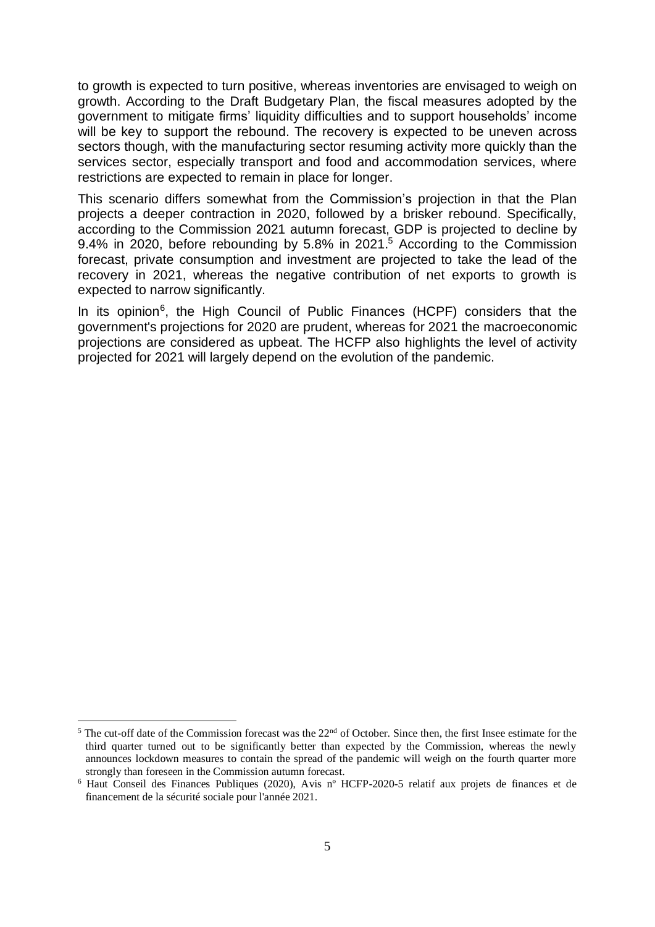to growth is expected to turn positive, whereas inventories are envisaged to weigh on growth. According to the Draft Budgetary Plan, the fiscal measures adopted by the government to mitigate firms' liquidity difficulties and to support households' income will be key to support the rebound. The recovery is expected to be uneven across sectors though, with the manufacturing sector resuming activity more quickly than the services sector, especially transport and food and accommodation services, where restrictions are expected to remain in place for longer.

This scenario differs somewhat from the Commission's projection in that the Plan projects a deeper contraction in 2020, followed by a brisker rebound. Specifically, according to the Commission 2021 autumn forecast, GDP is projected to decline by 9.4% in 2020, before rebounding by 5.8% in 2021.<sup>5</sup> According to the Commission forecast, private consumption and investment are projected to take the lead of the recovery in 2021, whereas the negative contribution of net exports to growth is expected to narrow significantly.

In its opinion<sup>6</sup>, the High Council of Public Finances (HCPF) considers that the government's projections for 2020 are prudent, whereas for 2021 the macroeconomic projections are considered as upbeat. The HCFP also highlights the level of activity projected for 2021 will largely depend on the evolution of the pandemic.

 $\overline{a}$  $5$  The cut-off date of the Commission forecast was the  $22<sup>nd</sup>$  of October. Since then, the first Insee estimate for the third quarter turned out to be significantly better than expected by the Commission, whereas the newly announces lockdown measures to contain the spread of the pandemic will weigh on the fourth quarter more strongly than foreseen in the Commission autumn forecast.

<sup>6</sup> Haut Conseil des Finances Publiques (2020), Avis nº HCFP-2020-5 relatif aux projets de finances et de financement de la sécurité sociale pour l'année 2021.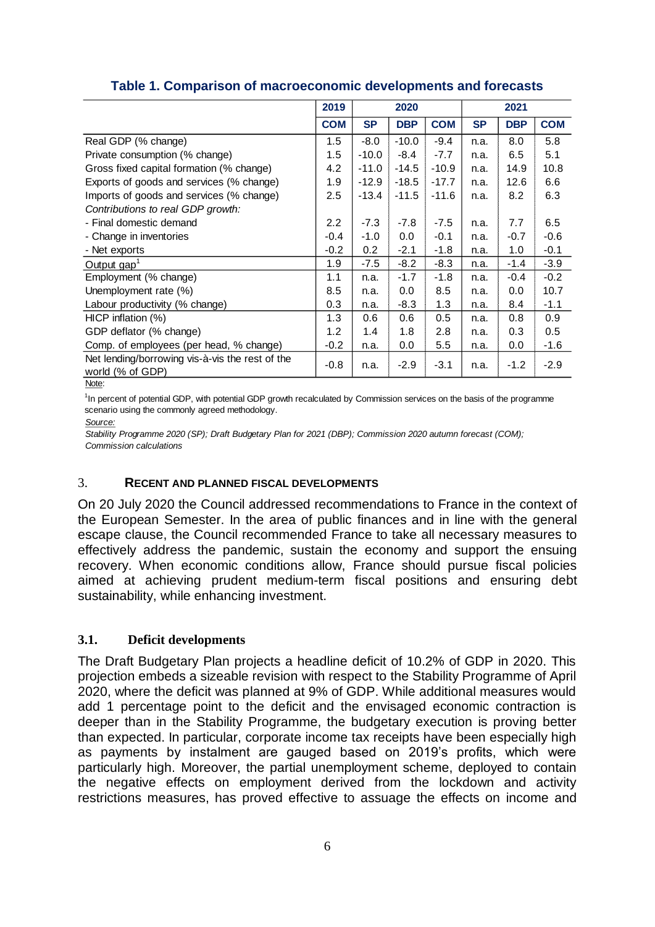|                                                                     | 2019       |           | 2020       |            | 2021      |            |            |
|---------------------------------------------------------------------|------------|-----------|------------|------------|-----------|------------|------------|
|                                                                     | <b>COM</b> | <b>SP</b> | <b>DBP</b> | <b>COM</b> | <b>SP</b> | <b>DBP</b> | <b>COM</b> |
| Real GDP (% change)                                                 | 1.5        | $-8.0$    | $-10.0$    | $-9.4$     | n.a.      | 8.0        | 5.8        |
| Private consumption (% change)                                      | 1.5        | $-10.0$   | $-8.4$     | $-7.7$     | n.a.      | 6.5        | 5.1        |
| Gross fixed capital formation (% change)                            | 4.2        | $-11.0$   | $-14.5$    | $-10.9$    | n.a.      | 14.9       | 10.8       |
| Exports of goods and services (% change)                            | 1.9        | $-12.9$   | $-18.5$    | $-17.7$    | n.a.      | 12.6       | 6.6        |
| Imports of goods and services (% change)                            | 2.5        | $-13.4$   | $-11.5$    | $-11.6$    | n.a.      | 8.2        | 6.3        |
| Contributions to real GDP growth:                                   |            |           |            |            |           |            |            |
| - Final domestic demand                                             | 2.2        | $-7.3$    | $-7.8$     | $-7.5$     | n.a.      | 7.7        | 6.5        |
| - Change in inventories                                             | $-0.4$     | $-1.0$    | 0.0        | $-0.1$     | n.a.      | $-0.7$     | $-0.6$     |
| - Net exports                                                       | $-0.2$     | 0.2       | $-2.1$     | $-1.8$     | n.a.      | 1.0        | $-0.1$     |
| Output gap <sup>1</sup>                                             | 1.9        | $-7.5$    | $-8.2$     | $-8.3$     | n.a.      | $-1.4$     | $-3.9$     |
| Employment (% change)                                               | 1.1        | n.a.      | $-1.7$     | $-1.8$     | n.a.      | $-0.4$     | $-0.2$     |
| Unemployment rate (%)                                               | 8.5        | n.a.      | 0.0        | 8.5        | n.a.      | 0.0        | 10.7       |
| Labour productivity (% change)                                      | 0.3        | n.a.      | $-8.3$     | 1.3        | n.a.      | 8.4        | $-1.1$     |
| $HICP$ inflation $(\%)$                                             | 1.3        | 0.6       | 0.6        | 0.5        | n.a.      | 0.8        | 0.9        |
| GDP deflator (% change)                                             | 1.2        | 1.4       | 1.8        | 2.8        | n.a.      | 0.3        | 0.5        |
| Comp. of employees (per head, % change)                             | $-0.2$     | n.a.      | 0.0        | 5.5        | n.a.      | 0.0        | $-1.6$     |
| Net lending/borrowing vis-à-vis the rest of the<br>world (% of GDP) | $-0.8$     | n.a.      | $-2.9$     | $-3.1$     | n.a.      | $-1.2$     | $-2.9$     |

### **Table 1. Comparison of macroeconomic developments and forecasts**

Note:

1 In percent of potential GDP, with potential GDP growth recalculated by Commission services on the basis of the programme scenario using the commonly agreed methodology.

*Source:*

*Stability Programme 2020 (SP); Draft Budgetary Plan for 2021 (DBP); Commission 2020 autumn forecast (COM); Commission calculations*

## <span id="page-6-0"></span>3. **RECENT AND PLANNED FISCAL DEVELOPMENTS**

On 20 July 2020 the Council addressed recommendations to France in the context of the European Semester. In the area of public finances and in line with the general escape clause, the Council recommended France to take all necessary measures to effectively address the pandemic, sustain the economy and support the ensuing recovery. When economic conditions allow, France should pursue fiscal policies aimed at achieving prudent medium-term fiscal positions and ensuring debt sustainability, while enhancing investment.

# <span id="page-6-1"></span>**3.1. Deficit developments**

The Draft Budgetary Plan projects a headline deficit of 10.2% of GDP in 2020. This projection embeds a sizeable revision with respect to the Stability Programme of April 2020, where the deficit was planned at 9% of GDP. While additional measures would add 1 percentage point to the deficit and the envisaged economic contraction is deeper than in the Stability Programme, the budgetary execution is proving better than expected. In particular, corporate income tax receipts have been especially high as payments by instalment are gauged based on 2019's profits, which were particularly high. Moreover, the partial unemployment scheme, deployed to contain the negative effects on employment derived from the lockdown and activity restrictions measures, has proved effective to assuage the effects on income and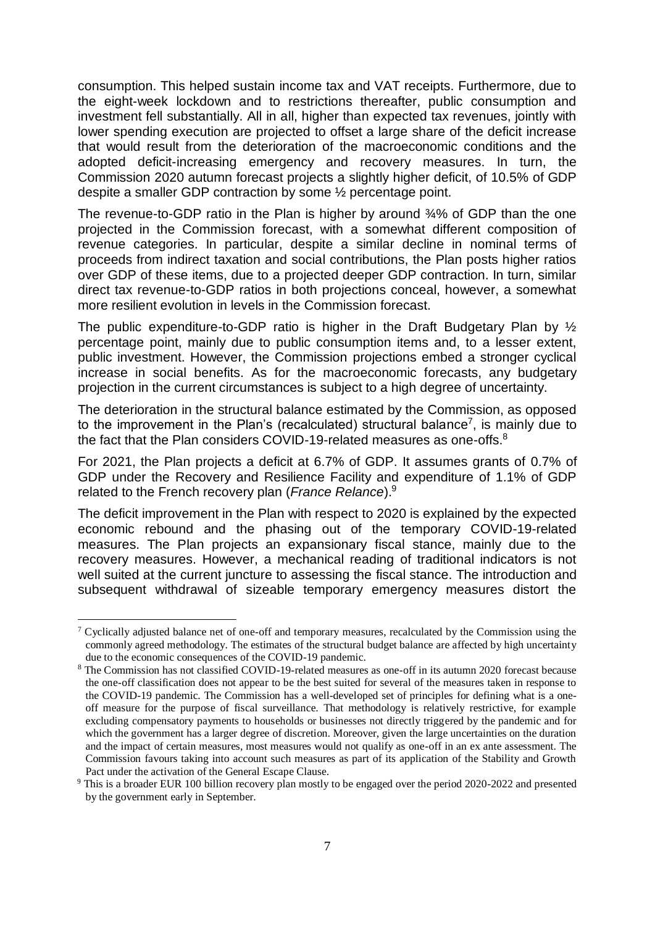consumption. This helped sustain income tax and VAT receipts. Furthermore, due to the eight-week lockdown and to restrictions thereafter, public consumption and investment fell substantially. All in all, higher than expected tax revenues, jointly with lower spending execution are projected to offset a large share of the deficit increase that would result from the deterioration of the macroeconomic conditions and the adopted deficit-increasing emergency and recovery measures. In turn, the Commission 2020 autumn forecast projects a slightly higher deficit, of 10.5% of GDP despite a smaller GDP contraction by some ½ percentage point.

The revenue-to-GDP ratio in the Plan is higher by around 34% of GDP than the one projected in the Commission forecast, with a somewhat different composition of revenue categories. In particular, despite a similar decline in nominal terms of proceeds from indirect taxation and social contributions, the Plan posts higher ratios over GDP of these items, due to a projected deeper GDP contraction. In turn, similar direct tax revenue-to-GDP ratios in both projections conceal, however, a somewhat more resilient evolution in levels in the Commission forecast.

The public expenditure-to-GDP ratio is higher in the Draft Budgetary Plan by ½ percentage point, mainly due to public consumption items and, to a lesser extent, public investment. However, the Commission projections embed a stronger cyclical increase in social benefits. As for the macroeconomic forecasts, any budgetary projection in the current circumstances is subject to a high degree of uncertainty.

The deterioration in the structural balance estimated by the Commission, as opposed to the improvement in the Plan's (recalculated) structural balance<sup>7</sup>, is mainly due to the fact that the Plan considers COVID-19-related measures as one-offs.<sup>8</sup>

For 2021, the Plan projects a deficit at 6.7% of GDP. It assumes grants of 0.7% of GDP under the Recovery and Resilience Facility and expenditure of 1.1% of GDP related to the French recovery plan (*France Relance*).<sup>9</sup>

The deficit improvement in the Plan with respect to 2020 is explained by the expected economic rebound and the phasing out of the temporary COVID-19-related measures. The Plan projects an expansionary fiscal stance, mainly due to the recovery measures. However, a mechanical reading of traditional indicators is not well suited at the current juncture to assessing the fiscal stance. The introduction and subsequent withdrawal of sizeable temporary emergency measures distort the

<sup>&</sup>lt;sup>7</sup> Cyclically adjusted balance net of one-off and temporary measures, recalculated by the Commission using the commonly agreed methodology. The estimates of the structural budget balance are affected by high uncertainty due to the economic consequences of the COVID-19 pandemic.

<sup>&</sup>lt;sup>8</sup> The Commission has not classified COVID-19-related measures as one-off in its autumn 2020 forecast because the one-off classification does not appear to be the best suited for several of the measures taken in response to the COVID-19 pandemic. The Commission has a well-developed set of principles for defining what is a oneoff measure for the purpose of fiscal surveillance. That methodology is relatively restrictive, for example excluding compensatory payments to households or businesses not directly triggered by the pandemic and for which the government has a larger degree of discretion. Moreover, given the large uncertainties on the duration and the impact of certain measures, most measures would not qualify as one-off in an ex ante assessment. The Commission favours taking into account such measures as part of its application of the Stability and Growth Pact under the activation of the General Escape Clause.

<sup>9</sup> This is a broader EUR 100 billion recovery plan mostly to be engaged over the period 2020-2022 and presented by the government early in September.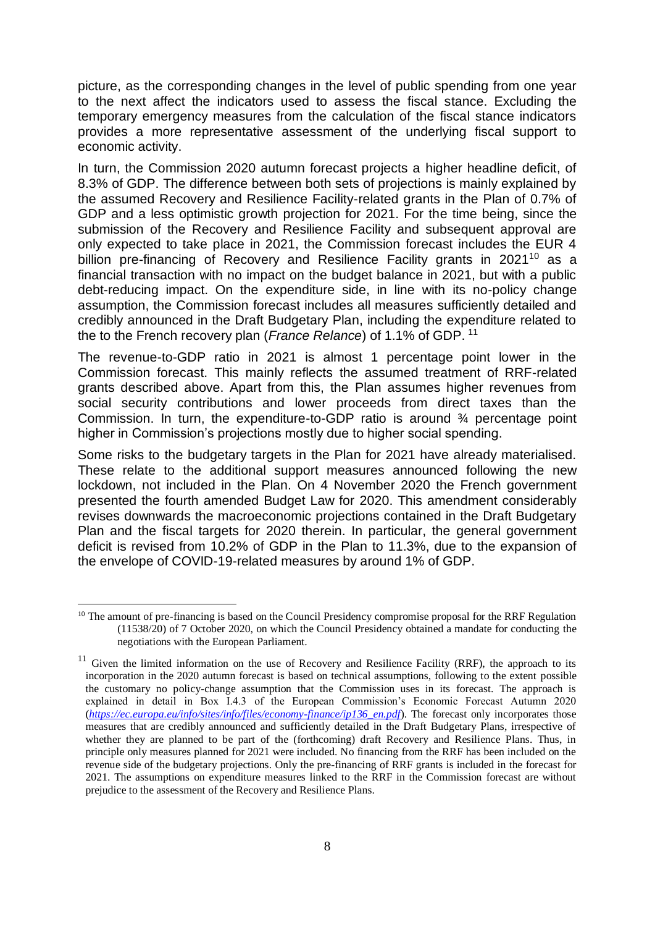picture, as the corresponding changes in the level of public spending from one year to the next affect the indicators used to assess the fiscal stance. Excluding the temporary emergency measures from the calculation of the fiscal stance indicators provides a more representative assessment of the underlying fiscal support to economic activity.

In turn, the Commission 2020 autumn forecast projects a higher headline deficit, of 8.3% of GDP. The difference between both sets of projections is mainly explained by the assumed Recovery and Resilience Facility-related grants in the Plan of 0.7% of GDP and a less optimistic growth projection for 2021. For the time being, since the submission of the Recovery and Resilience Facility and subsequent approval are only expected to take place in 2021, the Commission forecast includes the EUR 4 billion pre-financing of Recovery and Resilience Facility grants in  $2021^{10}$  as a financial transaction with no impact on the budget balance in 2021, but with a public debt-reducing impact. On the expenditure side, in line with its no-policy change assumption, the Commission forecast includes all measures sufficiently detailed and credibly announced in the Draft Budgetary Plan, including the expenditure related to the to the French recovery plan (*France Relance*) of 1.1% of GDP. <sup>11</sup>

The revenue-to-GDP ratio in 2021 is almost 1 percentage point lower in the Commission forecast. This mainly reflects the assumed treatment of RRF-related grants described above. Apart from this, the Plan assumes higher revenues from social security contributions and lower proceeds from direct taxes than the Commission. In turn, the expenditure-to-GDP ratio is around ¾ percentage point higher in Commission's projections mostly due to higher social spending.

Some risks to the budgetary targets in the Plan for 2021 have already materialised. These relate to the additional support measures announced following the new lockdown, not included in the Plan. On 4 November 2020 the French government presented the fourth amended Budget Law for 2020. This amendment considerably revises downwards the macroeconomic projections contained in the Draft Budgetary Plan and the fiscal targets for 2020 therein. In particular, the general government deficit is revised from 10.2% of GDP in the Plan to 11.3%, due to the expansion of the envelope of COVID-19-related measures by around 1% of GDP.

<sup>&</sup>lt;sup>10</sup> The amount of pre-financing is based on the Council Presidency compromise proposal for the RRF Regulation (11538/20) of 7 October 2020, on which the Council Presidency obtained a mandate for conducting the negotiations with the European Parliament.

 $11$  Given the limited information on the use of Recovery and Resilience Facility (RRF), the approach to its incorporation in the 2020 autumn forecast is based on technical assumptions, following to the extent possible the customary no policy-change assumption that the Commission uses in its forecast. The approach is explained in detail in Box I.4.3 of the European Commission's Economic Forecast Autumn 2020 (*[https://ec.europa.eu/info/sites/info/files/economy-finance/ip136\\_en.pdf](https://ec.europa.eu/info/sites/info/files/economy-finance/ip136_en.pdf)*). The forecast only incorporates those measures that are credibly announced and sufficiently detailed in the Draft Budgetary Plans, irrespective of whether they are planned to be part of the (forthcoming) draft Recovery and Resilience Plans. Thus, in principle only measures planned for 2021 were included. No financing from the RRF has been included on the revenue side of the budgetary projections. Only the pre-financing of RRF grants is included in the forecast for 2021. The assumptions on expenditure measures linked to the RRF in the Commission forecast are without prejudice to the assessment of the Recovery and Resilience Plans.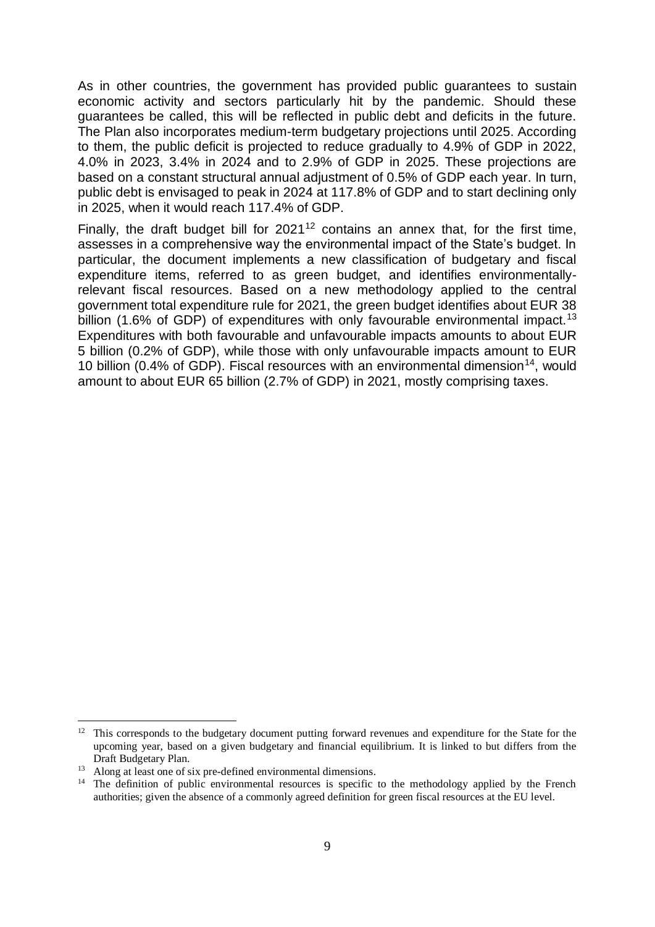As in other countries, the government has provided public guarantees to sustain economic activity and sectors particularly hit by the pandemic. Should these guarantees be called, this will be reflected in public debt and deficits in the future. The Plan also incorporates medium-term budgetary projections until 2025. According to them, the public deficit is projected to reduce gradually to 4.9% of GDP in 2022, 4.0% in 2023, 3.4% in 2024 and to 2.9% of GDP in 2025. These projections are based on a constant structural annual adjustment of 0.5% of GDP each year. In turn, public debt is envisaged to peak in 2024 at 117.8% of GDP and to start declining only in 2025, when it would reach 117.4% of GDP.

Finally, the draft budget bill for  $2021^{12}$  contains an annex that, for the first time, assesses in a comprehensive way the environmental impact of the State's budget. In particular, the document implements a new classification of budgetary and fiscal expenditure items, referred to as green budget, and identifies environmentallyrelevant fiscal resources. Based on a new methodology applied to the central government total expenditure rule for 2021, the green budget identifies about EUR 38 billion (1.6% of GDP) of expenditures with only favourable environmental impact.<sup>13</sup> Expenditures with both favourable and unfavourable impacts amounts to about EUR 5 billion (0.2% of GDP), while those with only unfavourable impacts amount to EUR 10 billion (0.4% of GDP). Fiscal resources with an environmental dimension<sup>14</sup>, would amount to about EUR 65 billion (2.7% of GDP) in 2021, mostly comprising taxes.

<sup>&</sup>lt;sup>12</sup> This corresponds to the budgetary document putting forward revenues and expenditure for the State for the upcoming year, based on a given budgetary and financial equilibrium. It is linked to but differs from the Draft Budgetary Plan.

<sup>&</sup>lt;sup>13</sup> Along at least one of six pre-defined environmental dimensions.

<sup>&</sup>lt;sup>14</sup> The definition of public environmental resources is specific to the methodology applied by the French authorities; given the absence of a commonly agreed definition for green fiscal resources at the EU level.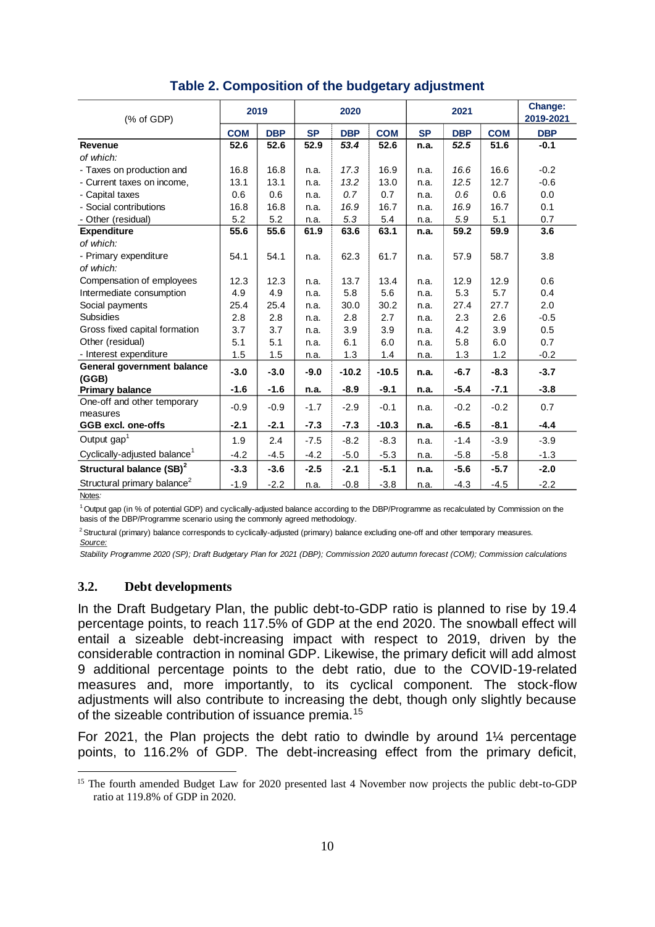| (% of GDP)                               | 2019       |            | 2020      |            | 2021       |           |            | Change:<br>2019-2021 |            |
|------------------------------------------|------------|------------|-----------|------------|------------|-----------|------------|----------------------|------------|
|                                          | <b>COM</b> | <b>DBP</b> | <b>SP</b> | <b>DBP</b> | <b>COM</b> | <b>SP</b> | <b>DBP</b> | <b>COM</b>           | <b>DBP</b> |
| <b>Revenue</b>                           | 52.6       | 52.6       | 52.9      | 53.4       | 52.6       | n.a.      | 52.5       | 51.6                 | $-0.1$     |
| of which:                                |            |            |           |            |            |           |            |                      |            |
| - Taxes on production and                | 16.8       | 16.8       | n.a.      | 17.3       | 16.9       | n.a.      | 16.6       | 16.6                 | $-0.2$     |
| - Current taxes on income,               | 13.1       | 13.1       | n.a.      | 13.2       | 13.0       | n.a.      | 12.5       | 12.7                 | $-0.6$     |
| - Capital taxes                          | 0.6        | 0.6        | n.a.      | 0.7        | 0.7        | n.a.      | 0.6        | 0.6                  | 0.0        |
| - Social contributions                   | 16.8       | 16.8       | n.a.      | 16.9       | 16.7       | n.a.      | 16.9       | 16.7                 | 0.1        |
| - Other (residual)                       | 5.2        | 5.2        | n.a.      | 5.3        | 5.4        | n.a.      | 5.9        | 5.1                  | 0.7        |
| <b>Expenditure</b>                       | 55.6       | 55.6       | 61.9      | 63.6       | 63.1       | n.a.      | 59.2       | 59.9                 | 3.6        |
| of which:                                |            |            |           |            |            |           |            |                      |            |
| - Primary expenditure                    | 54.1       | 54.1       | n.a.      | 62.3       | 61.7       | n.a.      | 57.9       | 58.7                 | 3.8        |
| of which:                                |            |            |           |            |            |           |            |                      |            |
| Compensation of employees                | 12.3       | 12.3       | n.a.      | 13.7       | 13.4       | n.a.      | 12.9       | 12.9                 | 0.6        |
| Intermediate consumption                 | 4.9        | 4.9        | n.a.      | 5.8        | 5.6        | n.a.      | 5.3        | 5.7                  | 0.4        |
| Social payments                          | 25.4       | 25.4       | n.a.      | 30.0       | 30.2       | n.a.      | 27.4       | 27.7                 | 2.0        |
| <b>Subsidies</b>                         | 2.8        | 2.8        | n.a.      | 2.8        | 2.7        | n.a.      | 2.3        | 2.6                  | $-0.5$     |
| Gross fixed capital formation            | 3.7        | 3.7        | n.a.      | 3.9        | 3.9        | n.a.      | 4.2        | 3.9                  | 0.5        |
| Other (residual)                         | 5.1        | 5.1        | n.a.      | 6.1        | 6.0        | n.a.      | 5.8        | 6.0                  | 0.7        |
| - Interest expenditure                   | 1.5        | 1.5        | n.a.      | 1.3        | 1.4        | n.a.      | 1.3        | 1.2                  | $-0.2$     |
| General government balance<br>(GGB)      | $-3.0$     | $-3.0$     | $-9.0$    | $-10.2$    | $-10.5$    | n.a.      | $-6.7$     | $-8.3$               | $-3.7$     |
| <b>Primary balance</b>                   | $-1.6$     | $-1.6$     | n.a.      | $-8.9$     | $-9.1$     | n.a.      | $-5.4$     | $-7.1$               | $-3.8$     |
| One-off and other temporary<br>measures  | $-0.9$     | $-0.9$     | $-1.7$    | $-2.9$     | $-0.1$     | n.a.      | $-0.2$     | $-0.2$               | 0.7        |
| GGB excl. one-offs                       | $-2.1$     | $-2.1$     | $-7.3$    | $-7.3$     | $-10.3$    | n.a.      | $-6.5$     | $-8.1$               | $-4.4$     |
| Output gap <sup>1</sup>                  | 1.9        | 2.4        | $-7.5$    | $-8.2$     | $-8.3$     | n.a.      | $-1.4$     | $-3.9$               | $-3.9$     |
| Cyclically-adjusted balance <sup>1</sup> | $-4.2$     | $-4.5$     | $-4.2$    | $-5.0$     | $-5.3$     | n.a.      | $-5.8$     | $-5.8$               | $-1.3$     |
| Structural balance (SB) <sup>2</sup>     | $-3.3$     | $-3.6$     | $-2.5$    | $-2.1$     | $-5.1$     | n.a.      | $-5.6$     | $-5.7$               | $-2.0$     |
| Structural primary balance <sup>2</sup>  | $-1.9$     | $-2.2$     | n.a.      | $-0.8$     | $-3.8$     | n.a.      | $-4.3$     | $-4.5$               | $-2.2$     |

# **Table 2. Composition of the budgetary adjustment**

Notes*:*

<sup>1</sup> Output gap (in % of potential GDP) and cyclically-adjusted balance according to the DBP/Programme as recalculated by Commission on the basis of the DBP/Programme scenario using the commonly agreed methodology.

<sup>2</sup> Structural (primary) balance corresponds to cyclically-adjusted (primary) balance excluding one-off and other temporary measures.

*Source:*

*Stability Programme 2020 (SP); Draft Budgetary Plan for 2021 (DBP); Commission 2020 autumn forecast (COM); Commission calculations*

# <span id="page-10-0"></span>**3.2. Debt developments**

In the Draft Budgetary Plan, the public debt-to-GDP ratio is planned to rise by 19.4 percentage points, to reach 117.5% of GDP at the end 2020. The snowball effect will entail a sizeable debt-increasing impact with respect to 2019, driven by the considerable contraction in nominal GDP. Likewise, the primary deficit will add almost 9 additional percentage points to the debt ratio, due to the COVID-19-related measures and, more importantly, to its cyclical component. The stock-flow adjustments will also contribute to increasing the debt, though only slightly because of the sizeable contribution of issuance premia.<sup>15</sup>

For 2021, the Plan projects the debt ratio to dwindle by around 1¼ percentage points, to 116.2% of GDP. The debt-increasing effect from the primary deficit,

 $\overline{a}$ <sup>15</sup> The fourth amended Budget Law for 2020 presented last 4 November now projects the public debt-to-GDP ratio at 119.8% of GDP in 2020.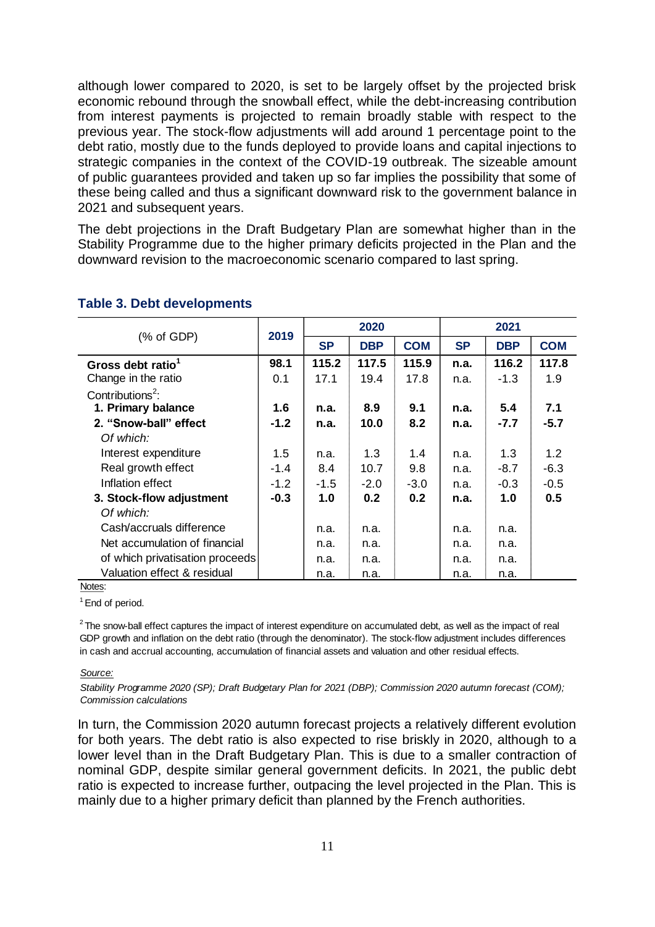although lower compared to 2020, is set to be largely offset by the projected brisk economic rebound through the snowball effect, while the debt-increasing contribution from interest payments is projected to remain broadly stable with respect to the previous year. The stock-flow adjustments will add around 1 percentage point to the debt ratio, mostly due to the funds deployed to provide loans and capital injections to strategic companies in the context of the COVID-19 outbreak. The sizeable amount of public guarantees provided and taken up so far implies the possibility that some of these being called and thus a significant downward risk to the government balance in 2021 and subsequent years.

The debt projections in the Draft Budgetary Plan are somewhat higher than in the Stability Programme due to the higher primary deficits projected in the Plan and the downward revision to the macroeconomic scenario compared to last spring.

|                                 | 2019   | 2020      |            |            | 2021      |            |            |
|---------------------------------|--------|-----------|------------|------------|-----------|------------|------------|
| $%$ of GDP)                     |        | <b>SP</b> | <b>DBP</b> | <b>COM</b> | <b>SP</b> | <b>DBP</b> | <b>COM</b> |
| Gross debt ratio <sup>1</sup>   | 98.1   | 115.2     | 117.5      | 115.9      | n.a.      | 116.2      | 117.8      |
| Change in the ratio             | 0.1    | 17.1      | 19.4       | 17.8       | n.a.      | $-1.3$     | 1.9        |
| Contributions <sup>2</sup> :    |        |           |            |            |           |            |            |
| 1. Primary balance              | 1.6    | n.a.      | 8.9        | 9.1        | n.a.      | 5.4        | 7.1        |
| 2. "Snow-ball" effect           | $-1.2$ | n.a.      | 10.0       | 8.2        | n.a.      | $-7.7$     | $-5.7$     |
| Of which:                       |        |           |            |            |           |            |            |
| Interest expenditure            | 1.5    | n.a.      | 1.3        | 1.4        | n.a.      | 1.3        | 1.2        |
| Real growth effect              | $-1.4$ | 8.4       | 10.7       | 9.8        | n.a.      | $-8.7$     | $-6.3$     |
| Inflation effect                | $-1.2$ | $-1.5$    | $-2.0$     | $-3.0$     | n.a.      | $-0.3$     | $-0.5$     |
| 3. Stock-flow adjustment        | $-0.3$ | 1.0       | 0.2        | 0.2        | n.a.      | 1.0        | 0.5        |
| Of which:                       |        |           |            |            |           |            |            |
| Cash/accruals difference        |        | n.a.      | n.a.       |            | n.a.      | n.a.       |            |
| Net accumulation of financial   |        | n.a.      | n.a.       |            | n.a.      | n.a.       |            |
| of which privatisation proceeds |        | n.a.      | n.a.       |            | n.a.      | n.a.       |            |
| Valuation effect & residual     |        | n.a.      | n.a.       |            | n.a.      | n.a.       |            |

#### **Table 3. Debt developments**

Notes:

<sup>1</sup> End of period.

 $2$ The snow-ball effect captures the impact of interest expenditure on accumulated debt, as well as the impact of real GDP growth and inflation on the debt ratio (through the denominator). The stock-flow adjustment includes differences in cash and accrual accounting, accumulation of financial assets and valuation and other residual effects.

#### *Source:*

*Stability Programme 2020 (SP); Draft Budgetary Plan for 2021 (DBP); Commission 2020 autumn forecast (COM); Commission calculations*

In turn, the Commission 2020 autumn forecast projects a relatively different evolution for both years. The debt ratio is also expected to rise briskly in 2020, although to a lower level than in the Draft Budgetary Plan. This is due to a smaller contraction of nominal GDP, despite similar general government deficits. In 2021, the public debt ratio is expected to increase further, outpacing the level projected in the Plan. This is mainly due to a higher primary deficit than planned by the French authorities.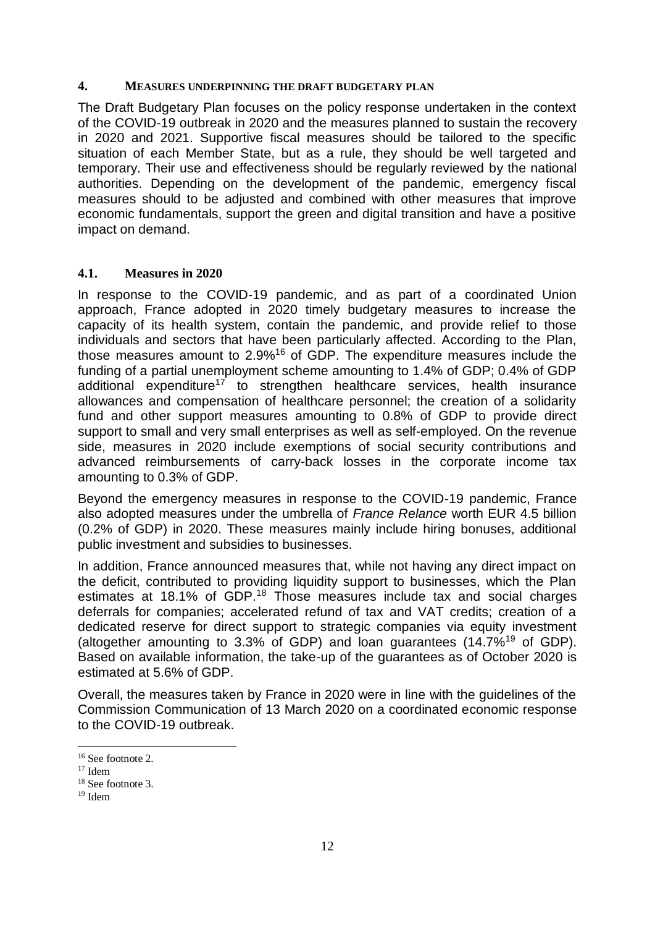#### <span id="page-12-0"></span>**4. MEASURES UNDERPINNING THE DRAFT BUDGETARY PLAN**

The Draft Budgetary Plan focuses on the policy response undertaken in the context of the COVID-19 outbreak in 2020 and the measures planned to sustain the recovery in 2020 and 2021. Supportive fiscal measures should be tailored to the specific situation of each Member State, but as a rule, they should be well targeted and temporary. Their use and effectiveness should be regularly reviewed by the national authorities. Depending on the development of the pandemic, emergency fiscal measures should to be adjusted and combined with other measures that improve economic fundamentals, support the green and digital transition and have a positive impact on demand.

### <span id="page-12-1"></span>**4.1. Measures in 2020**

In response to the COVID-19 pandemic, and as part of a coordinated Union approach, France adopted in 2020 timely budgetary measures to increase the capacity of its health system, contain the pandemic, and provide relief to those individuals and sectors that have been particularly affected. According to the Plan, those measures amount to 2.9%<sup>16</sup> of GDP. The expenditure measures include the funding of a partial unemployment scheme amounting to 1.4% of GDP; 0.4% of GDP additional expenditure<sup>17</sup> to strengthen healthcare services, health insurance allowances and compensation of healthcare personnel; the creation of a solidarity fund and other support measures amounting to 0.8% of GDP to provide direct support to small and very small enterprises as well as self-employed. On the revenue side, measures in 2020 include exemptions of social security contributions and advanced reimbursements of carry-back losses in the corporate income tax amounting to 0.3% of GDP.

Beyond the emergency measures in response to the COVID-19 pandemic, France also adopted measures under the umbrella of *France Relance* worth EUR 4.5 billion (0.2% of GDP) in 2020. These measures mainly include hiring bonuses, additional public investment and subsidies to businesses.

In addition, France announced measures that, while not having any direct impact on the deficit, contributed to providing liquidity support to businesses, which the Plan estimates at 18.1% of GDP.<sup>18</sup> Those measures include tax and social charges deferrals for companies; accelerated refund of tax and VAT credits; creation of a dedicated reserve for direct support to strategic companies via equity investment (altogether amounting to 3.3% of GDP) and loan guarantees  $(14.7\%^{19}$  of GDP). Based on available information, the take-up of the guarantees as of October 2020 is estimated at 5.6% of GDP.

Overall, the measures taken by France in 2020 were in line with the guidelines of the Commission Communication of 13 March 2020 on a coordinated economic response to the COVID-19 outbreak.

<sup>16</sup> See footnote 2.

 $17$  Idem

<sup>18</sup> See footnote 3.

<sup>19</sup> Idem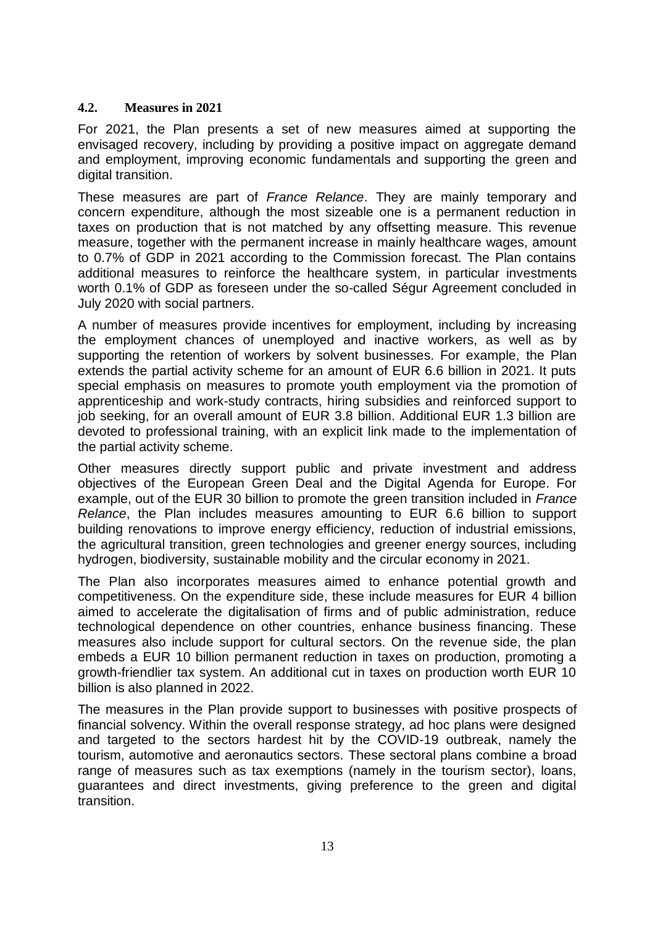### <span id="page-13-0"></span>**4.2. Measures in 2021**

For 2021, the Plan presents a set of new measures aimed at supporting the envisaged recovery, including by providing a positive impact on aggregate demand and employment, improving economic fundamentals and supporting the green and digital transition.

These measures are part of *France Relance*. They are mainly temporary and concern expenditure, although the most sizeable one is a permanent reduction in taxes on production that is not matched by any offsetting measure. This revenue measure, together with the permanent increase in mainly healthcare wages, amount to 0.7% of GDP in 2021 according to the Commission forecast. The Plan contains additional measures to reinforce the healthcare system, in particular investments worth 0.1% of GDP as foreseen under the so-called Ségur Agreement concluded in July 2020 with social partners.

A number of measures provide incentives for employment, including by increasing the employment chances of unemployed and inactive workers, as well as by supporting the retention of workers by solvent businesses. For example, the Plan extends the partial activity scheme for an amount of EUR 6.6 billion in 2021. It puts special emphasis on measures to promote youth employment via the promotion of apprenticeship and work-study contracts, hiring subsidies and reinforced support to job seeking, for an overall amount of EUR 3.8 billion. Additional EUR 1.3 billion are devoted to professional training, with an explicit link made to the implementation of the partial activity scheme.

Other measures directly support public and private investment and address objectives of the European Green Deal and the Digital Agenda for Europe. For example, out of the EUR 30 billion to promote the green transition included in *France Relance*, the Plan includes measures amounting to EUR 6.6 billion to support building renovations to improve energy efficiency, reduction of industrial emissions, the agricultural transition, green technologies and greener energy sources, including hydrogen, biodiversity, sustainable mobility and the circular economy in 2021.

The Plan also incorporates measures aimed to enhance potential growth and competitiveness. On the expenditure side, these include measures for EUR 4 billion aimed to accelerate the digitalisation of firms and of public administration, reduce technological dependence on other countries, enhance business financing. These measures also include support for cultural sectors. On the revenue side, the plan embeds a EUR 10 billion permanent reduction in taxes on production, promoting a growth-friendlier tax system. An additional cut in taxes on production worth EUR 10 billion is also planned in 2022.

The measures in the Plan provide support to businesses with positive prospects of financial solvency. Within the overall response strategy, ad hoc plans were designed and targeted to the sectors hardest hit by the COVID-19 outbreak, namely the tourism, automotive and aeronautics sectors. These sectoral plans combine a broad range of measures such as tax exemptions (namely in the tourism sector), loans, guarantees and direct investments, giving preference to the green and digital transition.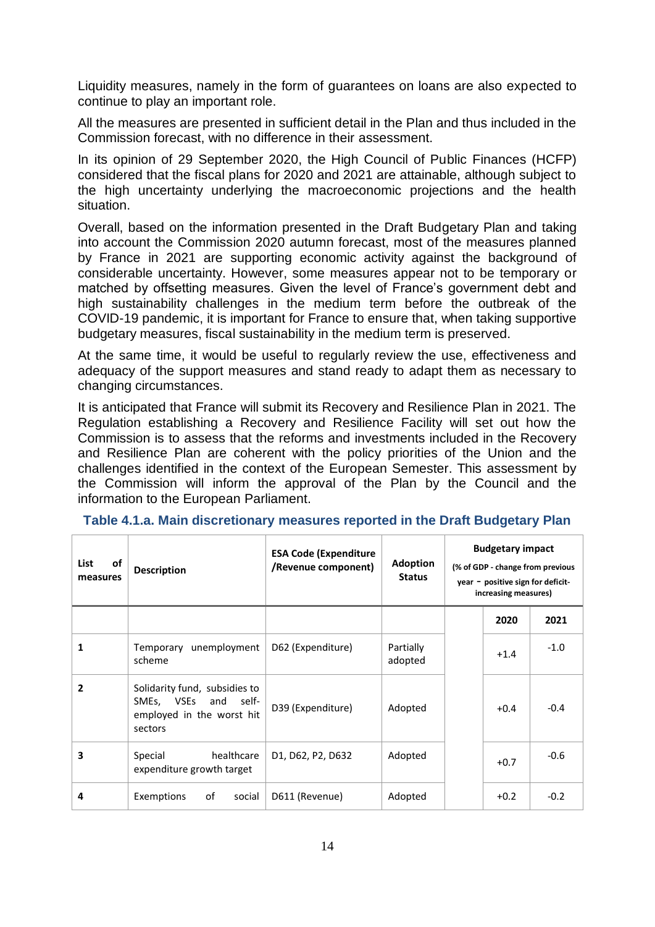Liquidity measures, namely in the form of guarantees on loans are also expected to continue to play an important role.

All the measures are presented in sufficient detail in the Plan and thus included in the Commission forecast, with no difference in their assessment.

In its opinion of 29 September 2020, the High Council of Public Finances (HCFP) considered that the fiscal plans for 2020 and 2021 are attainable, although subject to the high uncertainty underlying the macroeconomic projections and the health situation.

Overall, based on the information presented in the Draft Budgetary Plan and taking into account the Commission 2020 autumn forecast, most of the measures planned by France in 2021 are supporting economic activity against the background of considerable uncertainty. However, some measures appear not to be temporary or matched by offsetting measures. Given the level of France's government debt and high sustainability challenges in the medium term before the outbreak of the COVID-19 pandemic, it is important for France to ensure that, when taking supportive budgetary measures, fiscal sustainability in the medium term is preserved.

At the same time, it would be useful to regularly review the use, effectiveness and adequacy of the support measures and stand ready to adapt them as necessary to changing circumstances.

It is anticipated that France will submit its Recovery and Resilience Plan in 2021. The Regulation establishing a Recovery and Resilience Facility will set out how the Commission is to assess that the reforms and investments included in the Recovery and Resilience Plan are coherent with the policy priorities of the Union and the challenges identified in the context of the European Semester. This assessment by the Commission will inform the approval of the Plan by the Council and the information to the European Parliament.

| of<br>List<br>measures | <b>Description</b>                                                                                  | <b>ESA Code (Expenditure</b><br>/Revenue component) | <b>Adoption</b><br><b>Status</b> | <b>Budgetary impact</b><br>(% of GDP - change from previous<br>year - positive sign for deficit-<br>increasing measures) |        |        |  |
|------------------------|-----------------------------------------------------------------------------------------------------|-----------------------------------------------------|----------------------------------|--------------------------------------------------------------------------------------------------------------------------|--------|--------|--|
|                        |                                                                                                     |                                                     |                                  |                                                                                                                          | 2020   | 2021   |  |
| 1                      | unemployment<br>Temporary<br>scheme                                                                 | D62 (Expenditure)                                   | Partially<br>adopted             |                                                                                                                          | $+1.4$ | $-1.0$ |  |
| 2                      | Solidarity fund, subsidies to<br>SMEs, VSEs<br>self-<br>and<br>employed in the worst hit<br>sectors | D39 (Expenditure)                                   | Adopted                          |                                                                                                                          | $+0.4$ | $-0.4$ |  |
| 3                      | healthcare<br>Special<br>expenditure growth target                                                  | D1, D62, P2, D632                                   | Adopted                          |                                                                                                                          | $+0.7$ | $-0.6$ |  |
| 4                      | Exemptions<br>οf<br>social                                                                          | D611 (Revenue)                                      | Adopted                          |                                                                                                                          | $+0.2$ | $-0.2$ |  |

**Table 4.1.a. Main discretionary measures reported in the Draft Budgetary Plan**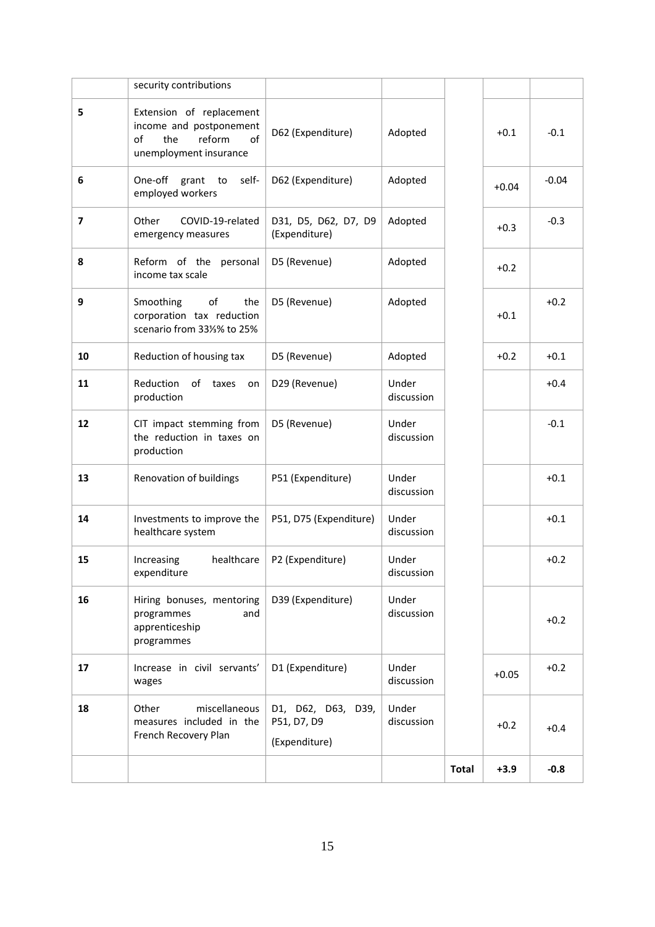|                |                                                                                                            |                                                    |                     | <b>Total</b> | $+3.9$  | $-0.8$  |
|----------------|------------------------------------------------------------------------------------------------------------|----------------------------------------------------|---------------------|--------------|---------|---------|
| 18             | miscellaneous<br>Other<br>measures included in the<br>French Recovery Plan                                 | D1, D62, D63, D39,<br>P51, D7, D9<br>(Expenditure) | Under<br>discussion |              | $+0.2$  | $+0.4$  |
| 17             | Increase in civil servants'<br>wages                                                                       | D1 (Expenditure)                                   | Under<br>discussion |              | $+0.05$ | $+0.2$  |
| 16             | Hiring bonuses, mentoring<br>programmes<br>and<br>apprenticeship<br>programmes                             | D39 (Expenditure)                                  | Under<br>discussion |              |         | $+0.2$  |
| 15             | healthcare<br>Increasing<br>expenditure                                                                    | P2 (Expenditure)                                   | Under<br>discussion |              |         | $+0.2$  |
| 14             | Investments to improve the<br>healthcare system                                                            | P51, D75 (Expenditure)                             | Under<br>discussion |              |         | $+0.1$  |
| 13             | Renovation of buildings                                                                                    | P51 (Expenditure)                                  | Under<br>discussion |              |         | $+0.1$  |
| 12             | CIT impact stemming from<br>the reduction in taxes on<br>production                                        | D5 (Revenue)                                       | Under<br>discussion |              |         | $-0.1$  |
| 11             | Reduction<br>of<br>taxes<br>on<br>production                                                               | D29 (Revenue)                                      | Under<br>discussion |              |         | $+0.4$  |
| 10             | Reduction of housing tax                                                                                   | D5 (Revenue)                                       | Adopted             |              | $+0.2$  | $+0.1$  |
| 9              | of<br>Smoothing<br>the<br>corporation tax reduction<br>scenario from 331/3% to 25%                         | D5 (Revenue)                                       | Adopted             |              | $+0.1$  | $+0.2$  |
| 8              | Reform of the<br>personal<br>income tax scale                                                              | D5 (Revenue)                                       | Adopted             |              | $+0.2$  |         |
| $\overline{7}$ | Other<br>COVID-19-related<br>emergency measures                                                            | D31, D5, D62, D7, D9<br>(Expenditure)              | Adopted             |              | $+0.3$  | $-0.3$  |
| 6              | One-off grant<br>self-<br>to<br>employed workers                                                           | D62 (Expenditure)                                  | Adopted             |              | $+0.04$ | $-0.04$ |
| 5              | Extension of replacement<br>income and postponement<br>reform<br>of<br>the<br>of<br>unemployment insurance | D62 (Expenditure)                                  | Adopted             |              | $+0.1$  | $-0.1$  |
|                | security contributions                                                                                     |                                                    |                     |              |         |         |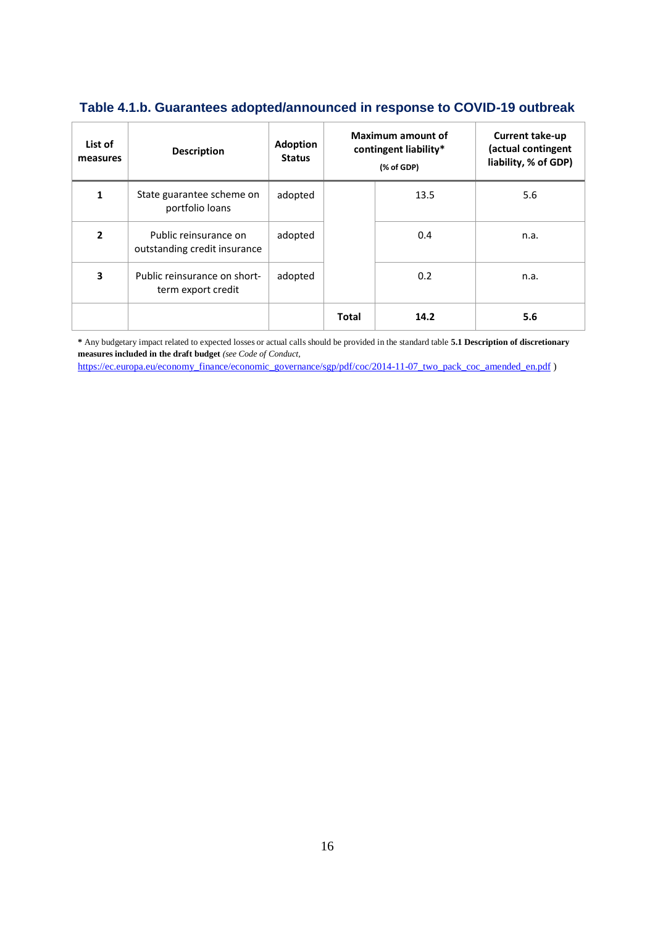# **Table 4.1.b. Guarantees adopted/announced in response to COVID-19 outbreak**

| List of<br>measures     | <b>Description</b>                                    | <b>Adoption</b><br><b>Status</b> | Maximum amount of<br>contingent liability*<br>(% of GDP) |      | <b>Current take-up</b><br>(actual contingent<br>liability, % of GDP) |
|-------------------------|-------------------------------------------------------|----------------------------------|----------------------------------------------------------|------|----------------------------------------------------------------------|
| 1                       | State guarantee scheme on<br>portfolio loans          | adopted                          |                                                          | 13.5 | 5.6                                                                  |
| $\mathbf{z}$            | Public reinsurance on<br>outstanding credit insurance | adopted                          |                                                          | 0.4  | n.a.                                                                 |
| $\overline{\mathbf{3}}$ | Public reinsurance on short-<br>term export credit    | adopted                          |                                                          | 0.2  | n.a.                                                                 |
|                         |                                                       |                                  | <b>Total</b>                                             | 14.2 | 5.6                                                                  |

**\*** Any budgetary impact related to expected losses or actual calls should be provided in the standard table **5.1 Description of discretionary measures included in the draft budget** *(see Code of Conduct,* 

[https://ec.europa.eu/economy\\_finance/economic\\_governance/sgp/pdf/coc/2014-11-07\\_two\\_pack\\_coc\\_amended\\_en.pdf](https://ec.europa.eu/economy_finance/economic_governance/sgp/pdf/coc/2014-11-07_two_pack_coc_amended_en.pdf) )